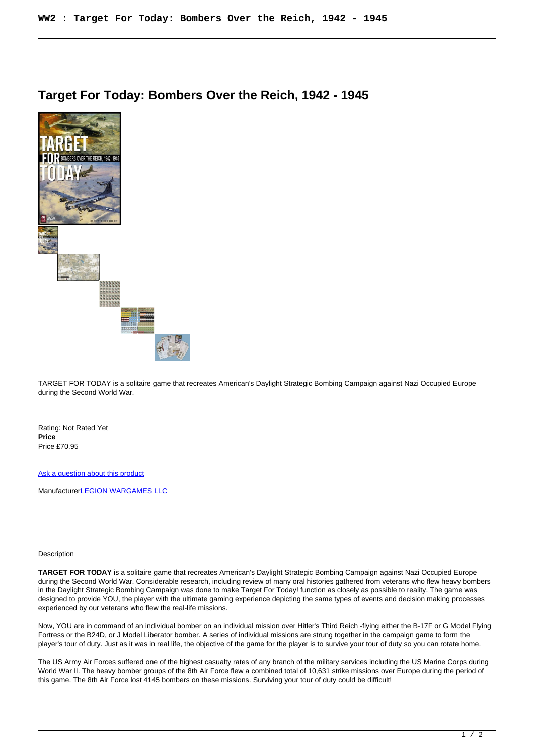## **Target For Today: Bombers Over the Reich, 1942 - 1945**



TARGET FOR TODAY is a solitaire game that recreates American's Daylight Strategic Bombing Campaign against Nazi Occupied Europe during the Second World War.

Rating: Not Rated Yet **Price**  Price £70.95

[Ask a question about this product](https://www.secondchancegames.com/index.php?option=com_virtuemart&view=productdetails&task=askquestion&virtuemart_product_id=10151&virtuemart_category_id=5&tmpl=component)

Manufacturer[LEGION WARGAMES LLC](https://www.secondchancegames.com/index.php?option=com_virtuemart&view=manufacturer&virtuemart_manufacturer_id=2640&tmpl=component)

## Description

**TARGET FOR TODAY** is a solitaire game that recreates American's Daylight Strategic Bombing Campaign against Nazi Occupied Europe during the Second World War. Considerable research, including review of many oral histories gathered from veterans who flew heavy bombers in the Daylight Strategic Bombing Campaign was done to make Target For Today! function as closely as possible to reality. The game was designed to provide YOU, the player with the ultimate gaming experience depicting the same types of events and decision making processes experienced by our veterans who flew the real-life missions.

Now, YOU are in command of an individual bomber on an individual mission over Hitler's Third Reich -flying either the B-17F or G Model Flying Fortress or the B24D, or J Model Liberator bomber. A series of individual missions are strung together in the campaign game to form the player's tour of duty. Just as it was in real life, the objective of the game for the player is to survive your tour of duty so you can rotate home.

The US Army Air Forces suffered one of the highest casualty rates of any branch of the military services including the US Marine Corps during World War II. The heavy bomber groups of the 8th Air Force flew a combined total of 10.631 strike missions over Europe during the period of this game. The 8th Air Force lost 4145 bombers on these missions. Surviving your tour of duty could be difficult!